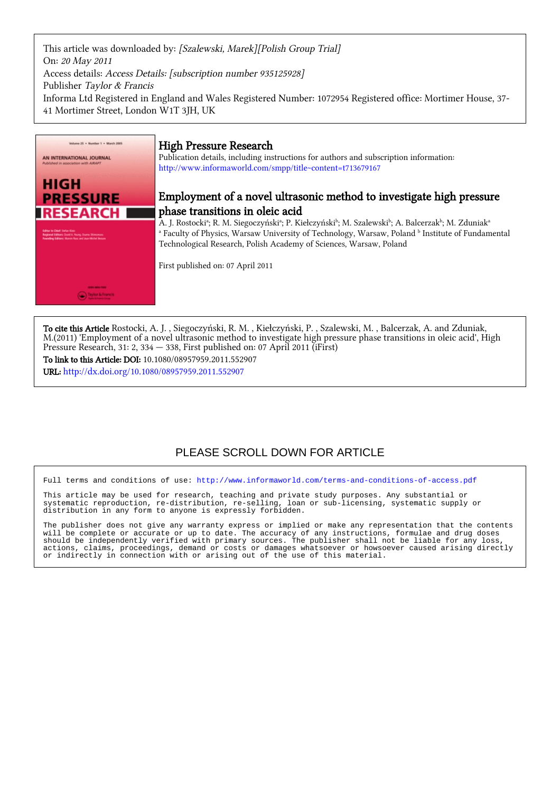This article was downloaded by: [Szalewski, Marek][Polish Group Trial] On: 20 May 2011 Access details: Access Details: [subscription number 935125928] Publisher Taylor & Francis Informa Ltd Registered in England and Wales Registered Number: 1072954 Registered office: Mortimer House, 37- 41 Mortimer Street, London W1T 3JH, UK



### High Pressure Research

Publication details, including instructions for authors and subscription information: <http://www.informaworld.com/smpp/title~content=t713679167>

### Employment of a novel ultrasonic method to investigate high pressure phase transitions in oleic acid

A. J. Rostockiª; R. M. Siegoczyńskiª; P. Kiełczyńskiʰ; M. Szalewskiʰ; A. Balcerzakʰ; M. Zduniakª <sup>a</sup> Faculty of Physics, Warsaw University of Technology, Warsaw, Poland b Institute of Fundamental Technological Research, Polish Academy of Sciences, Warsaw, Poland

First published on: 07 April 2011

To cite this Article Rostocki, A. J. , Siegoczyński, R. M. , Kiełczyński, P. , Szalewski, M. , Balcerzak, A. and Zduniak, M.(2011) 'Employment of a novel ultrasonic method to investigate high pressure phase transitions in oleic acid', High Pressure Research, 31: 2, 334 — 338, First published on: 07 April 2011 (iFirst) To link to this Article: DOI: 10.1080/08957959.2011.552907

URL: <http://dx.doi.org/10.1080/08957959.2011.552907>

## PLEASE SCROLL DOWN FOR ARTICLE

Full terms and conditions of use:<http://www.informaworld.com/terms-and-conditions-of-access.pdf>

This article may be used for research, teaching and private study purposes. Any substantial or<br>systematic reproduction, re-distribution, re-selling, loan or sub-licensing, systematic supply or systematic reproduction, re-distribution, re-selling, loan or sub-licensing, systematic supply or distribution in any form to anyone is expressly forbidden.

The publisher does not give any warranty express or implied or make any representation that the contents will be complete or accurate or up to date. The accuracy of any instructions, formulae and drug doses should be independently verified with primary sources. The publisher shall not be liable for any loss, actions, claims, proceedings, demand or costs or damages whatsoever or howsoever caused arising directly or indirectly in connection with or arising out of the use of this material.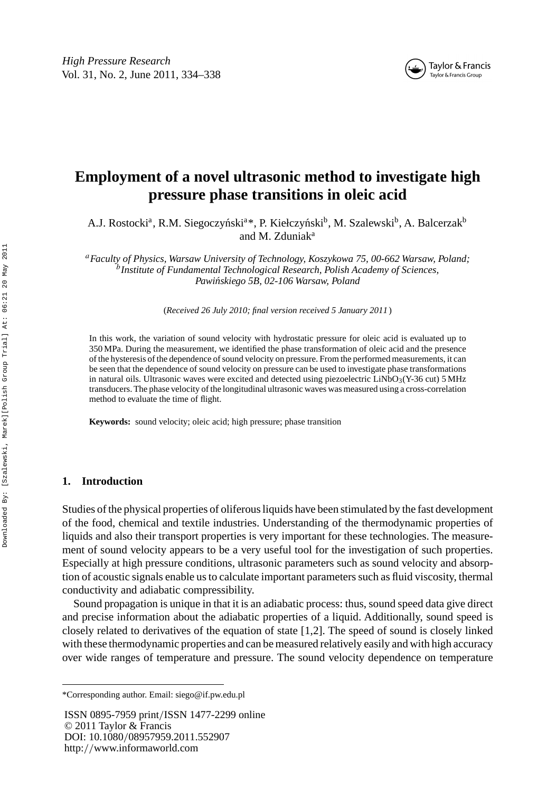

# **Employment of a novel ultrasonic method to investigate high pressure phase transitions in oleic acid**

A.J. Rostocki<sup>a</sup>, R.M. Siegoczyński<sup>a\*</sup>, P. Kiełczyński<sup>b</sup>, M. Szalewski<sup>b</sup>, A. Balcerzak<sup>b</sup> and M. Zduniak<sup>a</sup>

*<sup>a</sup>Faculty of Physics, Warsaw University of Technology, Koszykowa 75, 00-662 Warsaw, Poland; <sup>b</sup>Institute of Fundamental Technological Research, Polish Academy of Sciences, Pawi´nskiego 5B, 02-106 Warsaw, Poland*

(*Received 26 July 2010; final version received 5 January 2011* )

In this work, the variation of sound velocity with hydrostatic pressure for oleic acid is evaluated up to 350 MPa. During the measurement, we identified the phase transformation of oleic acid and the presence of the hysteresis of the dependence of sound velocity on pressure. From the performed measurements, it can be seen that the dependence of sound velocity on pressure can be used to investigate phase transformations in natural oils. Ultrasonic waves were excited and detected using piezoelectric LiNbO<sub>3</sub>(Y-36 cut) 5 MHz transducers. The phase velocity of the longitudinal ultrasonic waves was measured using a cross-correlation method to evaluate the time of flight.

**Keywords:** sound velocity; oleic acid; high pressure; phase transition

#### **1. Introduction**

Studies of the physical properties of oliferous liquids have been stimulated by the fast development of the food, chemical and textile industries. Understanding of the thermodynamic properties of liquids and also their transport properties is very important for these technologies. The measurement of sound velocity appears to be a very useful tool for the investigation of such properties. Especially at high pressure conditions, ultrasonic parameters such as sound velocity and absorption of acoustic signals enable us to calculate important parameters such as fluid viscosity, thermal conductivity and adiabatic compressibility.

Sound propagation is unique in that it is an adiabatic process: thus, sound speed data give direct and precise information about the adiabatic properties of a liquid. Additionally, sound speed is closely related to derivatives of the equation of state [1,2]. The speed of sound is closely linked with these thermodynamic properties and can be measured relatively easily and with high accuracy over wide ranges of temperature and pressure. The sound velocity dependence on temperature

ISSN 0895-7959 print*/*ISSN 1477-2299 online © 2011 Taylor & Francis DOI: 10.1080*/*08957959.2011.552907 http:*//*www.informaworld.com

<sup>\*</sup>Corresponding author. Email: siego@if.pw.edu.pl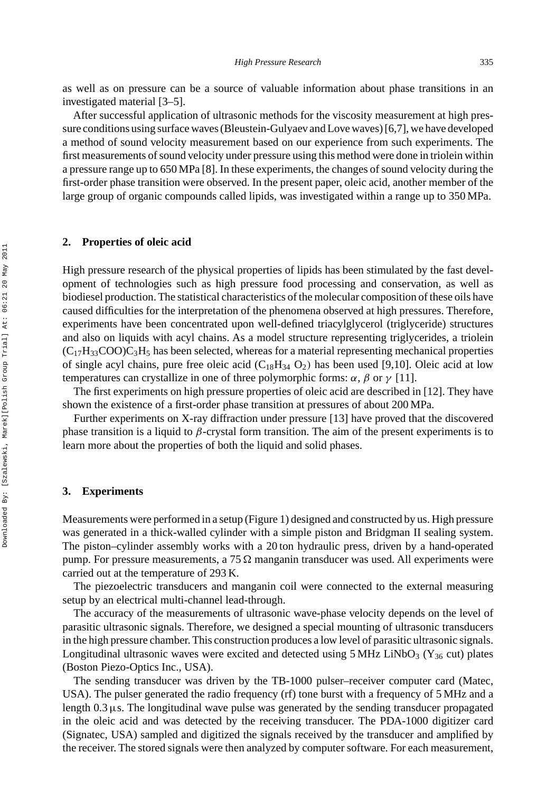as well as on pressure can be a source of valuable information about phase transitions in an investigated material [3–5].

After successful application of ultrasonic methods for the viscosity measurement at high pressure conditions using surface waves (Bleustein-Gulyaev and Love waves) [6,7], we have developed a method of sound velocity measurement based on our experience from such experiments. The first measurements of sound velocity under pressure using this method were done in triolein within a pressure range up to 650 MPa [8]. In these experiments, the changes of sound velocity during the first-order phase transition were observed. In the present paper, oleic acid, another member of the large group of organic compounds called lipids, was investigated within a range up to 350 MPa.

#### **2. Properties of oleic acid**

High pressure research of the physical properties of lipids has been stimulated by the fast development of technologies such as high pressure food processing and conservation, as well as biodiesel production. The statistical characteristics of the molecular composition of these oils have caused difficulties for the interpretation of the phenomena observed at high pressures. Therefore, experiments have been concentrated upon well-defined triacylglycerol (triglyceride) structures and also on liquids with acyl chains. As a model structure representing triglycerides, a triolein  $(C_{17}H_{33}COO)C_3H_5$  has been selected, whereas for a material representing mechanical properties of single acyl chains, pure free oleic acid  $(C_{18}H_{34} O_2)$  has been used [9,10]. Oleic acid at low temperatures can crystallize in one of three polymorphic forms:  $\alpha$ ,  $\beta$  or  $\gamma$  [11].

The first experiments on high pressure properties of oleic acid are described in [12]. They have shown the existence of a first-order phase transition at pressures of about 200 MPa.

Further experiments on X-ray diffraction under pressure [13] have proved that the discovered phase transition is a liquid to *β*-crystal form transition. The aim of the present experiments is to learn more about the properties of both the liquid and solid phases.

#### **3. Experiments**

Measurements were performed in a setup (Figure 1) designed and constructed by us. High pressure was generated in a thick-walled cylinder with a simple piston and Bridgman II sealing system. The piston–cylinder assembly works with a 20 ton hydraulic press, driven by a hand-operated pump. For pressure measurements, a  $75 \Omega$  manganin transducer was used. All experiments were carried out at the temperature of 293 K.

The piezoelectric transducers and manganin coil were connected to the external measuring setup by an electrical multi-channel lead-through.

The accuracy of the measurements of ultrasonic wave-phase velocity depends on the level of parasitic ultrasonic signals. Therefore, we designed a special mounting of ultrasonic transducers in the high pressure chamber. This construction produces a low level of parasitic ultrasonic signals. Longitudinal ultrasonic waves were excited and detected using  $5 \text{ MHz}$  LiNbO<sub>3</sub> (Y<sub>36</sub> cut) plates (Boston Piezo-Optics Inc., USA).

The sending transducer was driven by the TB-1000 pulser–receiver computer card (Matec, USA). The pulser generated the radio frequency (rf) tone burst with a frequency of 5 MHz and a length 0.3μs. The longitudinal wave pulse was generated by the sending transducer propagated in the oleic acid and was detected by the receiving transducer. The PDA-1000 digitizer card (Signatec, USA) sampled and digitized the signals received by the transducer and amplified by the receiver. The stored signals were then analyzed by computer software. For each measurement,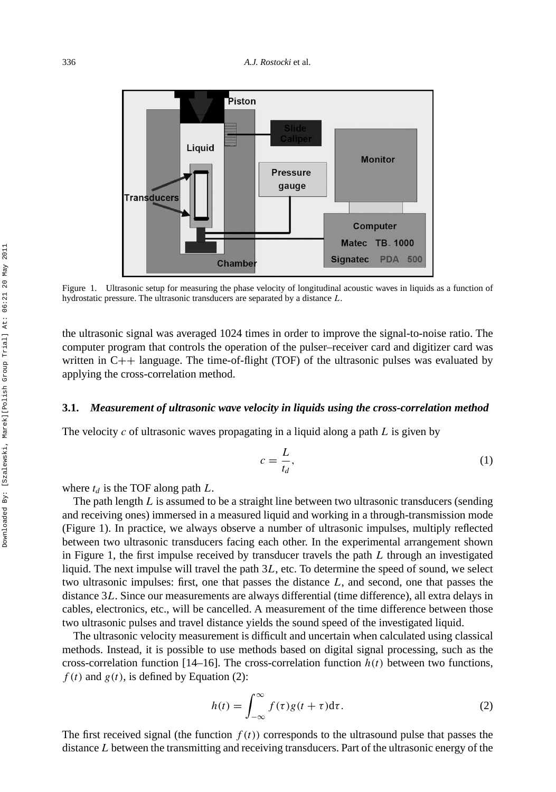

Figure 1. Ultrasonic setup for measuring the phase velocity of longitudinal acoustic waves in liquids as a function of hydrostatic pressure. The ultrasonic transducers are separated by a distance *L*.

the ultrasonic signal was averaged 1024 times in order to improve the signal-to-noise ratio. The computer program that controls the operation of the pulser–receiver card and digitizer card was written in  $C++$  language. The time-of-flight (TOF) of the ultrasonic pulses was evaluated by applying the cross-correlation method.

#### **3.1.** *Measurement of ultrasonic wave velocity in liquids using the cross-correlation method*

The velocity *c* of ultrasonic waves propagating in a liquid along a path *L* is given by

$$
c = \frac{L}{t_d},\tag{1}
$$

where  $t_d$  is the TOF along path  $L$ .

The path length *L* is assumed to be a straight line between two ultrasonic transducers (sending and receiving ones) immersed in a measured liquid and working in a through-transmission mode (Figure 1). In practice, we always observe a number of ultrasonic impulses, multiply reflected between two ultrasonic transducers facing each other. In the experimental arrangement shown in Figure 1, the first impulse received by transducer travels the path *L* through an investigated liquid. The next impulse will travel the path 3*L*, etc. To determine the speed of sound, we select two ultrasonic impulses: first, one that passes the distance *L*, and second, one that passes the distance 3*L*. Since our measurements are always differential (time difference), all extra delays in cables, electronics, etc., will be cancelled. A measurement of the time difference between those two ultrasonic pulses and travel distance yields the sound speed of the investigated liquid.

The ultrasonic velocity measurement is difficult and uncertain when calculated using classical methods. Instead, it is possible to use methods based on digital signal processing, such as the cross-correlation function  $[14–16]$ . The cross-correlation function  $h(t)$  between two functions,  $f(t)$  and  $g(t)$ , is defined by Equation (2):

$$
h(t) = \int_{-\infty}^{\infty} f(\tau)g(t+\tau)d\tau.
$$
 (2)

The first received signal (the function  $f(t)$ ) corresponds to the ultrasound pulse that passes the distance *L* between the transmitting and receiving transducers. Part of the ultrasonic energy of the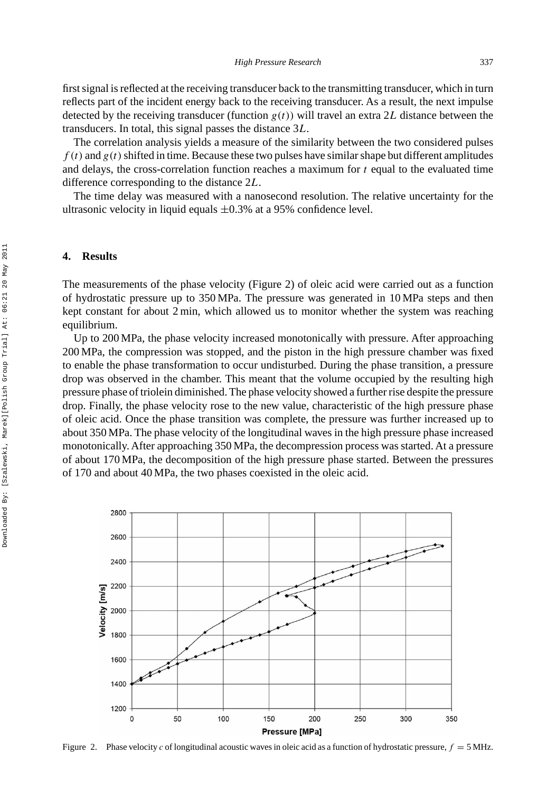first signal is reflected at the receiving transducer back to the transmitting transducer, which in turn reflects part of the incident energy back to the receiving transducer. As a result, the next impulse detected by the receiving transducer (function  $g(t)$ ) will travel an extra 2L distance between the transducers. In total, this signal passes the distance 3*L*.

The correlation analysis yields a measure of the similarity between the two considered pulses  $f(t)$  and  $g(t)$  shifted in time. Because these two pulses have similar shape but different amplitudes and delays, the cross-correlation function reaches a maximum for *t* equal to the evaluated time difference corresponding to the distance 2*L*.

The time delay was measured with a nanosecond resolution. The relative uncertainty for the ultrasonic velocity in liquid equals  $\pm 0.3$ % at a 95% confidence level.

### **4. Results**

The measurements of the phase velocity (Figure 2) of oleic acid were carried out as a function of hydrostatic pressure up to 350 MPa. The pressure was generated in 10 MPa steps and then kept constant for about 2 min, which allowed us to monitor whether the system was reaching equilibrium.

Up to 200 MPa, the phase velocity increased monotonically with pressure. After approaching 200 MPa, the compression was stopped, and the piston in the high pressure chamber was fixed to enable the phase transformation to occur undisturbed. During the phase transition, a pressure drop was observed in the chamber. This meant that the volume occupied by the resulting high pressure phase of triolein diminished. The phase velocity showed a further rise despite the pressure drop. Finally, the phase velocity rose to the new value, characteristic of the high pressure phase of oleic acid. Once the phase transition was complete, the pressure was further increased up to about 350 MPa. The phase velocity of the longitudinal waves in the high pressure phase increased monotonically. After approaching 350 MPa, the decompression process was started. At a pressure of about 170 MPa, the decomposition of the high pressure phase started. Between the pressures of 170 and about 40 MPa, the two phases coexisted in the oleic acid.



Figure 2. Phase velocity *c* of longitudinal acoustic waves in oleic acid as a function of hydrostatic pressure,  $f = 5 \text{ MHz}$ .